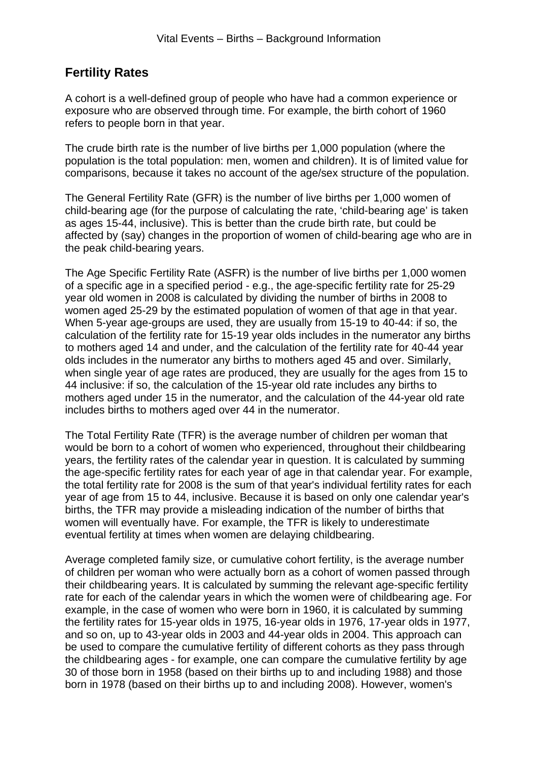## **Fertility Rates**

A cohort is a well-defined group of people who have had a common experience or exposure who are observed through time. For example, the birth cohort of 1960 refers to people born in that year.

The crude birth rate is the number of live births per 1,000 population (where the population is the total population: men, women and children). It is of limited value for comparisons, because it takes no account of the age/sex structure of the population.

The General Fertility Rate (GFR) is the number of live births per 1,000 women of child-bearing age (for the purpose of calculating the rate, 'child-bearing age' is taken as ages 15-44, inclusive). This is better than the crude birth rate, but could be affected by (say) changes in the proportion of women of child-bearing age who are in the peak child-bearing years.

The Age Specific Fertility Rate (ASFR) is the number of live births per 1,000 women of a specific age in a specified period - e.g., the age-specific fertility rate for 25-29 year old women in 2008 is calculated by dividing the number of births in 2008 to women aged 25-29 by the estimated population of women of that age in that year. When 5-year age-groups are used, they are usually from 15-19 to 40-44: if so, the calculation of the fertility rate for 15-19 year olds includes in the numerator any births to mothers aged 14 and under, and the calculation of the fertility rate for 40-44 year olds includes in the numerator any births to mothers aged 45 and over. Similarly, when single year of age rates are produced, they are usually for the ages from 15 to 44 inclusive: if so, the calculation of the 15-year old rate includes any births to mothers aged under 15 in the numerator, and the calculation of the 44-year old rate includes births to mothers aged over 44 in the numerator.

The Total Fertility Rate (TFR) is the average number of children per woman that would be born to a cohort of women who experienced, throughout their childbearing years, the fertility rates of the calendar year in question. It is calculated by summing the age-specific fertility rates for each year of age in that calendar year. For example, the total fertility rate for 2008 is the sum of that year's individual fertility rates for each year of age from 15 to 44, inclusive. Because it is based on only one calendar year's births, the TFR may provide a misleading indication of the number of births that women will eventually have. For example, the TFR is likely to underestimate eventual fertility at times when women are delaying childbearing.

Average completed family size, or cumulative cohort fertility, is the average number of children per woman who were actually born as a cohort of women passed through their childbearing years. It is calculated by summing the relevant age-specific fertility rate for each of the calendar years in which the women were of childbearing age. For example, in the case of women who were born in 1960, it is calculated by summing the fertility rates for 15-year olds in 1975, 16-year olds in 1976, 17-year olds in 1977, and so on, up to 43-year olds in 2003 and 44-year olds in 2004. This approach can be used to compare the cumulative fertility of different cohorts as they pass through the childbearing ages - for example, one can compare the cumulative fertility by age 30 of those born in 1958 (based on their births up to and including 1988) and those born in 1978 (based on their births up to and including 2008). However, women's